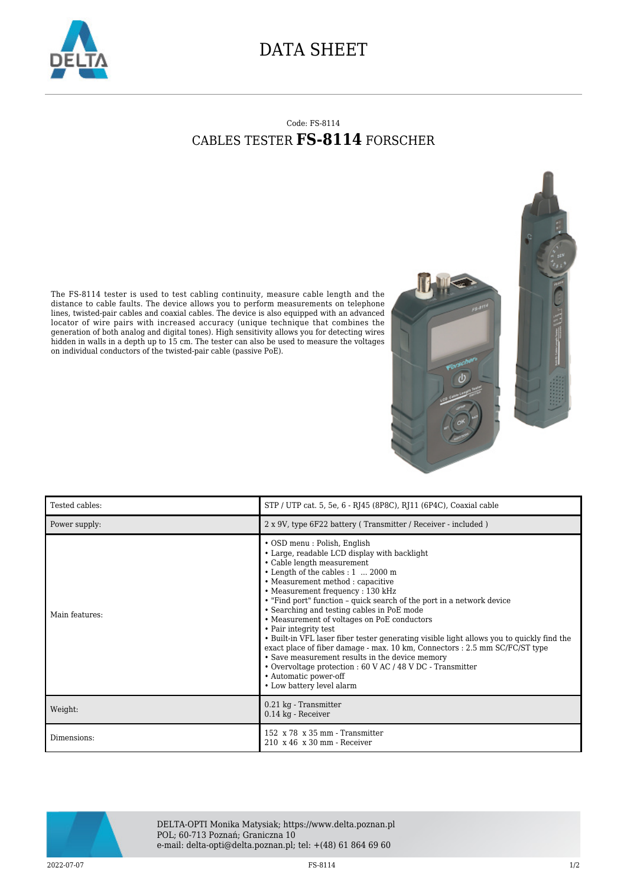

## DATA SHEET

## Code: FS-8114 CABLES TESTER **FS-8114** FORSCHER

The FS-8114 tester is used to test cabling continuity, measure cable length and the distance to cable faults. The device allows you to perform measurements on telephone lines, twisted-pair cables and coaxial cables. The device is also equipped with an advanced locator of wire pairs with increased accuracy (unique technique that combines the generation of both analog and digital tones). High sensitivity allows you for detecting wires hidden in walls in a depth up to 15 cm. The tester can also be used to measure the voltages on individual conductors of the twisted-pair cable (passive PoE).





| Tested cables: | STP / UTP cat. 5, 5e, 6 - RJ45 (8P8C), RJ11 (6P4C), Coaxial cable                                                                                                                                                                                                                                                                                                                                                                                                                                                                                                                                                                                                                                                                                                           |
|----------------|-----------------------------------------------------------------------------------------------------------------------------------------------------------------------------------------------------------------------------------------------------------------------------------------------------------------------------------------------------------------------------------------------------------------------------------------------------------------------------------------------------------------------------------------------------------------------------------------------------------------------------------------------------------------------------------------------------------------------------------------------------------------------------|
| Power supply:  | 2 x 9V, type 6F22 battery (Transmitter / Receiver - included)                                                                                                                                                                                                                                                                                                                                                                                                                                                                                                                                                                                                                                                                                                               |
| Main features: | • OSD menu : Polish, English<br>• Large, readable LCD display with backlight<br>• Cable length measurement<br>• Length of the cables : 1  2000 m<br>• Measurement method : capacitive<br>• Measurement frequency: 130 kHz<br>• "Find port" function - quick search of the port in a network device<br>• Searching and testing cables in PoE mode<br>• Measurement of voltages on PoE conductors<br>• Pair integrity test<br>• Built-in VFL laser fiber tester generating visible light allows you to quickly find the<br>exact place of fiber damage - max. 10 km, Connectors : 2.5 mm SC/FC/ST type<br>• Save measurement results in the device memory<br>• Overvoltage protection : 60 V AC / 48 V DC - Transmitter<br>• Automatic power-off<br>• Low battery level alarm |
| Weight:        | 0.21 kg - Transmitter<br>0.14 kg - Receiver                                                                                                                                                                                                                                                                                                                                                                                                                                                                                                                                                                                                                                                                                                                                 |
| Dimensions:    | $152 \times 78 \times 35$ mm - Transmitter<br>$210 \times 46 \times 30$ mm - Receiver                                                                                                                                                                                                                                                                                                                                                                                                                                                                                                                                                                                                                                                                                       |



DELTA-OPTI Monika Matysiak; https://www.delta.poznan.pl POL; 60-713 Poznań; Graniczna 10 e-mail: delta-opti@delta.poznan.pl; tel: +(48) 61 864 69 60